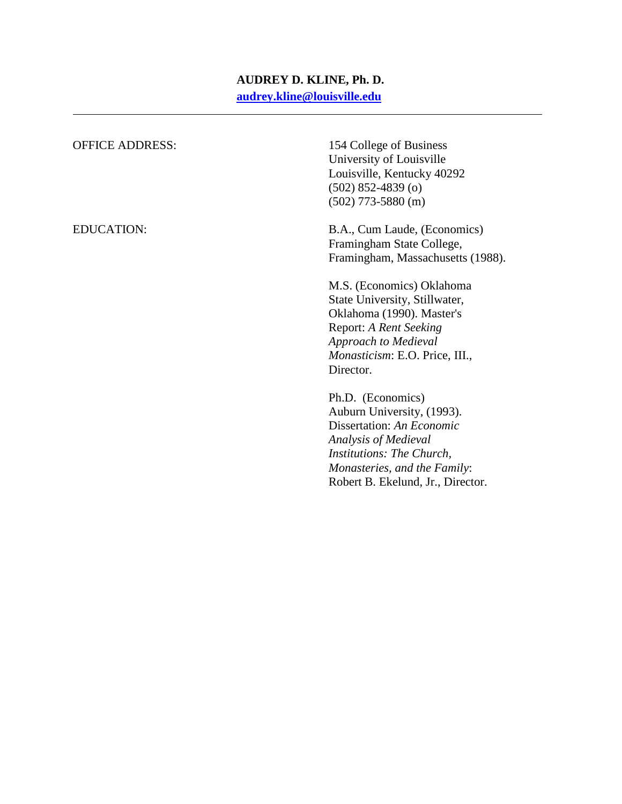# **AUDREY D. KLINE, Ph. D. [audrey.kline@louisville.edu](mailto:audrey.kline@louisville.edu)**

| <b>OFFICE ADDRESS:</b> | 154 College of Business<br>University of Louisville<br>Louisville, Kentucky 40292<br>$(502)$ 852-4839 $(o)$<br>$(502)$ 773-5880 (m)                                                                    |
|------------------------|--------------------------------------------------------------------------------------------------------------------------------------------------------------------------------------------------------|
| <b>EDUCATION:</b>      | B.A., Cum Laude, (Economics)<br>Framingham State College,<br>Framingham, Massachusetts (1988).                                                                                                         |
|                        | M.S. (Economics) Oklahoma<br>State University, Stillwater,<br>Oklahoma (1990). Master's<br>Report: A Rent Seeking<br>Approach to Medieval<br>Monasticism: E.O. Price, III.,<br>Director.               |
|                        | Ph.D. (Economics)<br>Auburn University, (1993).<br>Dissertation: An Economic<br>Analysis of Medieval<br>Institutions: The Church,<br>Monasteries, and the Family:<br>Robert B. Ekelund, Jr., Director. |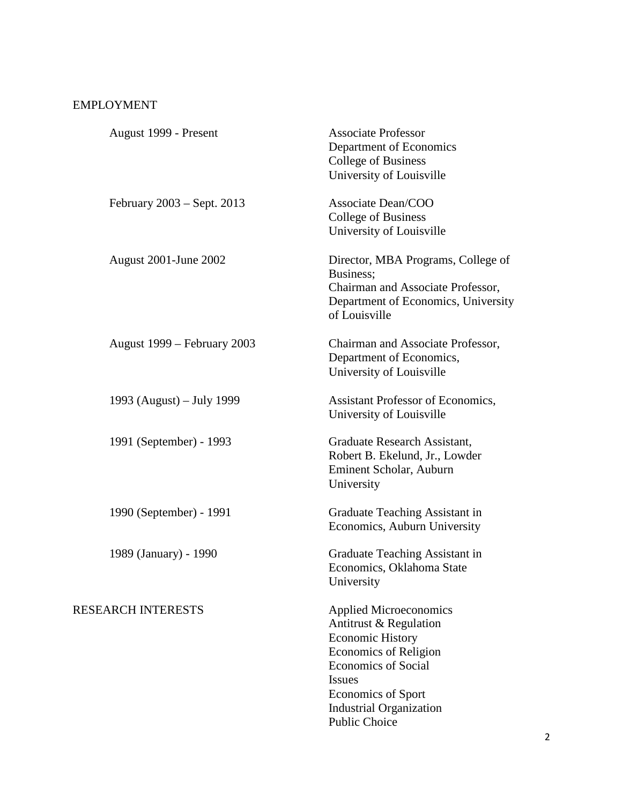# EMPLOYMENT

| August 1999 - Present        | <b>Associate Professor</b><br>Department of Economics<br><b>College of Business</b><br>University of Louisville                                                                                                                            |
|------------------------------|--------------------------------------------------------------------------------------------------------------------------------------------------------------------------------------------------------------------------------------------|
| February $2003 -$ Sept. 2013 | Associate Dean/COO<br><b>College of Business</b><br>University of Louisville                                                                                                                                                               |
| <b>August 2001-June 2002</b> | Director, MBA Programs, College of<br>Business;<br>Chairman and Associate Professor,<br>Department of Economics, University<br>of Louisville                                                                                               |
| August 1999 – February 2003  | Chairman and Associate Professor,<br>Department of Economics,<br>University of Louisville                                                                                                                                                  |
| 1993 (August) – July 1999    | <b>Assistant Professor of Economics,</b><br>University of Louisville                                                                                                                                                                       |
| 1991 (September) - 1993      | Graduate Research Assistant,<br>Robert B. Ekelund, Jr., Lowder<br>Eminent Scholar, Auburn<br>University                                                                                                                                    |
| 1990 (September) - 1991      | Graduate Teaching Assistant in<br>Economics, Auburn University                                                                                                                                                                             |
| 1989 (January) - 1990        | Graduate Teaching Assistant in<br>Economics, Oklahoma State<br>University                                                                                                                                                                  |
| <b>RESEARCH INTERESTS</b>    | <b>Applied Microeconomics</b><br>Antitrust & Regulation<br><b>Economic History</b><br>Economics of Religion<br><b>Economics of Social</b><br><b>Issues</b><br><b>Economics of Sport</b><br><b>Industrial Organization</b><br>Public Choice |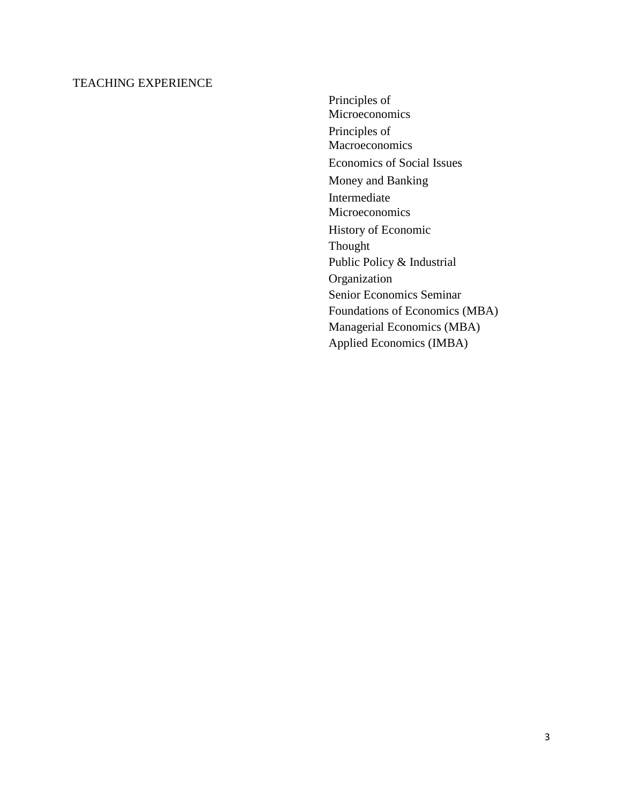### TEACHING EXPERIENCE

Principles of Microeconomics Principles of Macroeconomics Economics of Social Issues Money and Banking Intermediate **Microeconomics** History of Economic Thought Public Policy & Industrial Organization Senior Economics Seminar Foundations of Economics (MBA) Managerial Economics (MBA) Applied Economics (IMBA)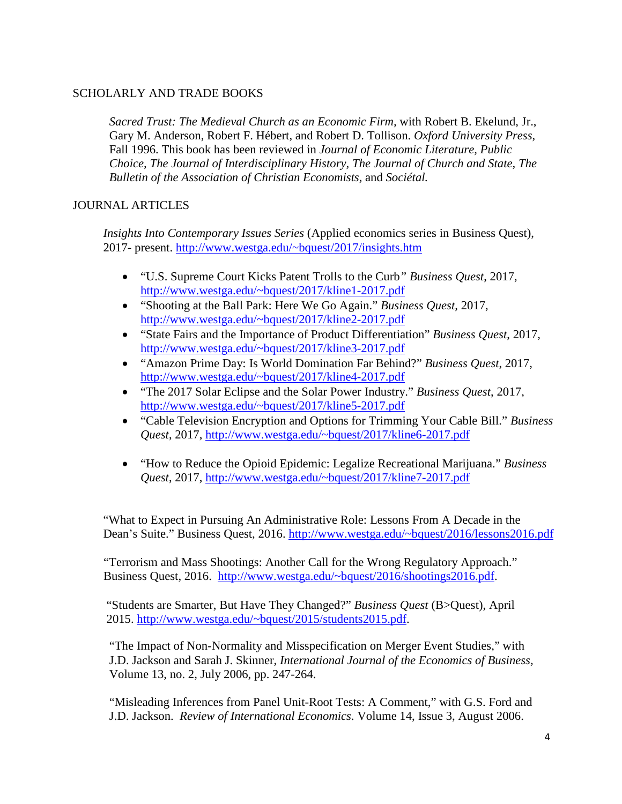### SCHOLARLY AND TRADE BOOKS

*Sacred Trust: The Medieval Church as an Economic Firm,* with Robert B. Ekelund, Jr., Gary M. Anderson, Robert F. Hébert, and Robert D. Tollison. *Oxford University Press*, Fall 1996. This book has been reviewed in *Journal of Economic Literature, Public Choice, The Journal of Interdisciplinary History, The Journal of Church and State, The Bulletin of the Association of Christian Economists,* and *Sociétal.*

### JOURNAL ARTICLES

*Insights Into Contemporary Issues Series* (Applied economics series in Business Quest), 2017- present. [http://www.westga.edu/~bquest/2017/insights.htm](http://www.westga.edu/%7Ebquest/2017/insights.htm)

- "U.S. Supreme Court Kicks Patent Trolls to the Curb*" Business Quest*, 2017, [http://www.westga.edu/~bquest/2017/kline1-2017.pdf](http://www.westga.edu/%7Ebquest/2017/kline1-2017.pdf)
- "Shooting at the Ball Park: Here We Go Again." *Business Quest,* 2017, [http://www.westga.edu/~bquest/2017/kline2-2017.pdf](http://www.westga.edu/%7Ebquest/2017/kline2-2017.pdf)
- "State Fairs and the Importance of Product Differentiation" *Business Quest*, 2017, [http://www.westga.edu/~bquest/2017/kline3-2017.pdf](http://www.westga.edu/%7Ebquest/2017/kline3-2017.pdf)
- "Amazon Prime Day: Is World Domination Far Behind?" *Business Quest*, 2017, [http://www.westga.edu/~bquest/2017/kline4-2017.pdf](http://www.westga.edu/%7Ebquest/2017/kline4-2017.pdf)
- "The 2017 Solar Eclipse and the Solar Power Industry." *Business Quest*, 2017, [http://www.westga.edu/~bquest/2017/kline5-2017.pdf](http://www.westga.edu/%7Ebquest/2017/kline5-2017.pdf)
- "Cable Television Encryption and Options for Trimming Your Cable Bill." *Business Quest*, 2017, [http://www.westga.edu/~bquest/2017/kline6-2017.pdf](http://www.westga.edu/%7Ebquest/2017/kline6-2017.pdf)
- "How to Reduce the Opioid Epidemic: Legalize Recreational Marijuana." *Business Quest*, 2017, [http://www.westga.edu/~bquest/2017/kline7-2017.pdf](http://www.westga.edu/%7Ebquest/2017/kline7-2017.pdf)

"What to Expect in Pursuing An Administrative Role: Lessons From A Decade in the Dean's Suite." Business Quest, 2016. [http://www.westga.edu/~bquest/2016/lessons2016.pdf](http://www.westga.edu/%7Ebquest/2016/lessons2016.pdf)

"Terrorism and Mass Shootings: Another Call for the Wrong Regulatory Approach." Business Quest, 2016. [http://www.westga.edu/~bquest/2016/shootings2016.pdf.](http://www.westga.edu/%7Ebquest/2016/shootings2016.pdf)

"Students are Smarter, But Have They Changed?" *Business Quest* (B>Quest), April 2015. [http://www.westga.edu/~bquest/2015/students2015.pdf.](http://www.westga.edu/%7Ebquest/2015/students2015.pdf)

"The Impact of Non-Normality and Misspecification on Merger Event Studies," with J.D. Jackson and Sarah J. Skinner, *International Journal of the Economics of Business,* Volume 13, no. 2, July 2006, pp. 247-264.

"Misleading Inferences from Panel Unit-Root Tests: A Comment," with G.S. Ford and J.D. Jackson. *Review of International Economics*. Volume 14, Issue 3, August 2006.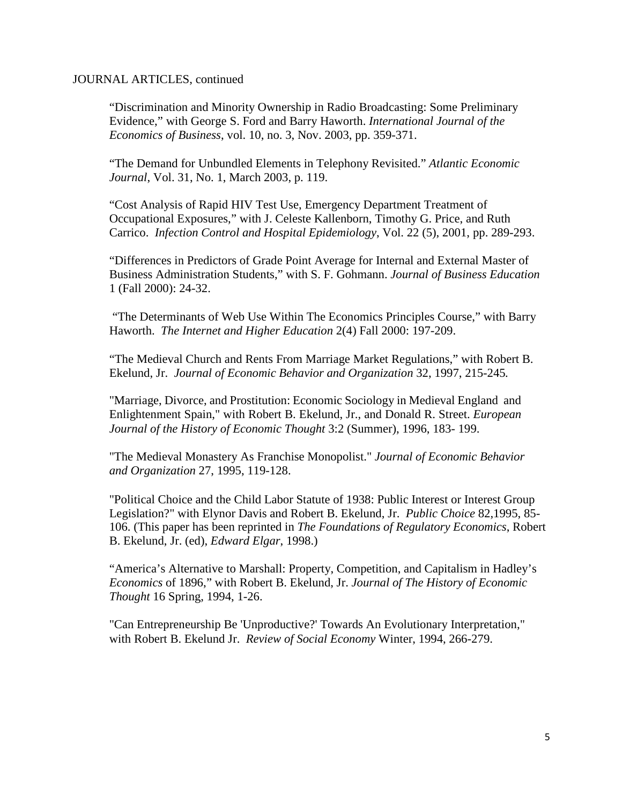#### JOURNAL ARTICLES, continued

"Discrimination and Minority Ownership in Radio Broadcasting: Some Preliminary Evidence," with George S. Ford and Barry Haworth. *International Journal of the Economics of Business*, vol. 10, no. 3, Nov. 2003, pp. 359-371.

"The Demand for Unbundled Elements in Telephony Revisited." *Atlantic Economic Journal*, Vol. 31, No. 1, March 2003, p. 119.

"Cost Analysis of Rapid HIV Test Use, Emergency Department Treatment of Occupational Exposures," with J. Celeste Kallenborn, Timothy G. Price, and Ruth Carrico. *Infection Control and Hospital Epidemiology*, Vol. 22 (5), 2001, pp. 289-293.

"Differences in Predictors of Grade Point Average for Internal and External Master of Business Administration Students," with S. F. Gohmann. *Journal of Business Education*  1 (Fall 2000): 24-32.

"The Determinants of Web Use Within The Economics Principles Course," with Barry Haworth. *The Internet and Higher Education* 2(4) Fall 2000: 197-209.

"The Medieval Church and Rents From Marriage Market Regulations," with Robert B. Ekelund, Jr. *Journal of Economic Behavior and Organization* 32, 1997, 215-245*.*

"Marriage, Divorce, and Prostitution: Economic Sociology in Medieval England and Enlightenment Spain," with Robert B. Ekelund, Jr., and Donald R. Street. *European Journal of the History of Economic Thought* 3:2 (Summer), 1996, 183- 199.

"The Medieval Monastery As Franchise Monopolist." *Journal of Economic Behavior and Organization* 27, 1995, 119-128.

"Political Choice and the Child Labor Statute of 1938: Public Interest or Interest Group Legislation?" with Elynor Davis and Robert B. Ekelund, Jr. *Public Choice* 82,1995, 85- 106. (This paper has been reprinted in *The Foundations of Regulatory Economics*, Robert B. Ekelund, Jr. (ed), *Edward Elgar*, 1998.)

"America's Alternative to Marshall: Property, Competition, and Capitalism in Hadley's *Economics* of 1896," with Robert B. Ekelund, Jr. *Journal of The History of Economic Thought* 16 Spring, 1994, 1-26.

"Can Entrepreneurship Be 'Unproductive?' Towards An Evolutionary Interpretation," with Robert B. Ekelund Jr. *Review of Social Economy* Winter, 1994, 266-279.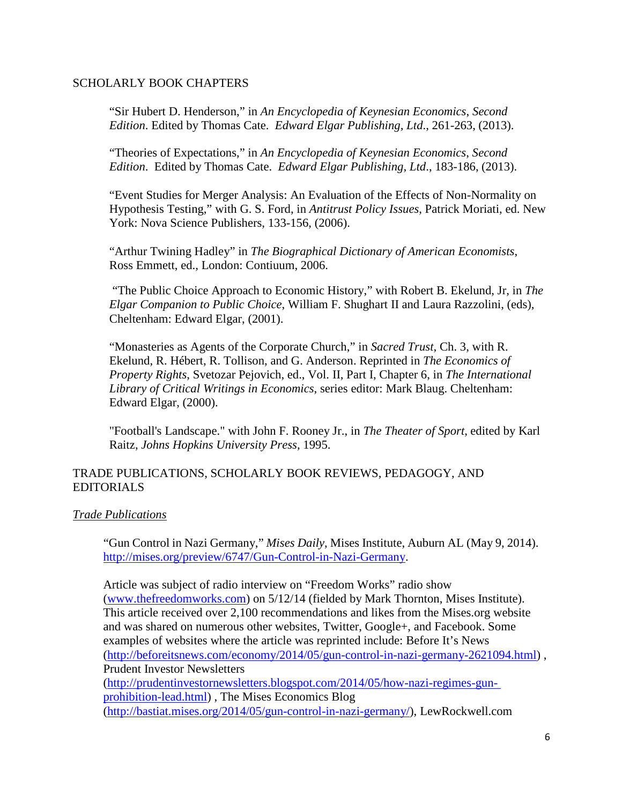### SCHOLARLY BOOK CHAPTERS

"Sir Hubert D. Henderson," in *An Encyclopedia of Keynesian Economics*, *Second Edition*. Edited by Thomas Cate. *Edward Elgar Publishing, Ltd*., 261-263, (2013).

"Theories of Expectations," in *An Encyclopedia of Keynesian Economics*, *Second Edition*. Edited by Thomas Cate. *Edward Elgar Publishing, Ltd*., 183-186, (2013).

"Event Studies for Merger Analysis: An Evaluation of the Effects of Non-Normality on Hypothesis Testing," with G. S. Ford, in *Antitrust Policy Issues*, Patrick Moriati, ed. New York: Nova Science Publishers, 133-156, (2006).

"Arthur Twining Hadley" in *The Biographical Dictionary of American Economists*, Ross Emmett, ed., London: Contiuum, 2006.

"The Public Choice Approach to Economic History," with Robert B. Ekelund, Jr, in *The Elgar Companion to Public Choice*, William F. Shughart II and Laura Razzolini, (eds), Cheltenham: Edward Elgar, (2001).

"Monasteries as Agents of the Corporate Church," in *Sacred Trust*, Ch. 3, with R. Ekelund, R. Hébert, R. Tollison, and G. Anderson. Reprinted in *The Economics of Property Rights*, Svetozar Pejovich, ed., Vol. II, Part I, Chapter 6, in *The International Library of Critical Writings in Economics*, series editor: Mark Blaug. Cheltenham: Edward Elgar, (2000).

"Football's Landscape." with John F. Rooney Jr., in *The Theater of Sport*, edited by Karl Raitz, *Johns Hopkins University Press,* 1995.

## TRADE PUBLICATIONS, SCHOLARLY BOOK REVIEWS, PEDAGOGY, AND EDITORIALS

## *Trade Publications*

"Gun Control in Nazi Germany," *Mises Daily*, Mises Institute, Auburn AL (May 9, 2014). [http://mises.org/preview/6747/Gun-Control-in-Nazi-Germany.](http://mises.org/preview/6747/Gun-Control-in-Nazi-Germany)

Article was subject of radio interview on "Freedom Works" radio show (www.thefreedomworks.com) on 5/12/14 (fielded by Mark Thornton, Mises Institute). This article received over 2,100 recommendations and likes from the Mises.org website and was shared on numerous other websites, Twitter, Google+, and Facebook. Some examples of websites where the article was reprinted include: Before It's News [\(http://beforeitsnews.com/economy/2014/05/gun-control-in-nazi-germany-2621094.html\)](http://beforeitsnews.com/economy/2014/05/gun-control-in-nazi-germany-2621094.html)) , Prudent Investor Newsletters [\(http://prudentinvestornewsletters.blogspot.com/2014/05/how-nazi-regimes-gun](http://prudentinvestornewsletters.blogspot.com/2014/05/how-nazi-regimes-gun-)prohibition-lead.html) , The Mises Economics Blog [\(http://bastiat.mises.org/2014/05/gun-control-in-nazi-germany/\),](http://bastiat.mises.org/2014/05/gun-control-in-nazi-germany/)) LewRockwell.com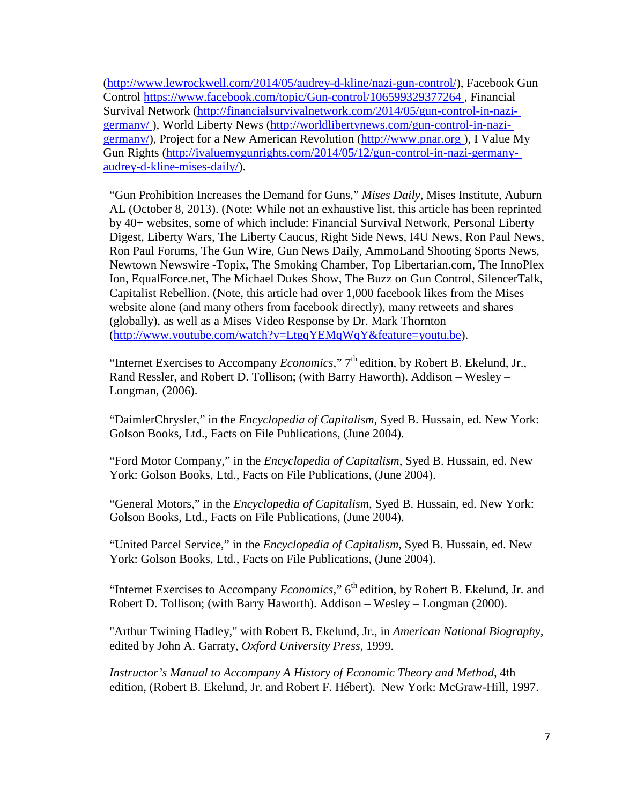[\(http://www.lewrockwell.com/2014/05/audrey-d-kline/nazi-gun-control/\),](http://www.lewrockwell.com/2014/05/audrey-d-kline/nazi-gun-control/)) Facebook Gun Control https:/[/www.facebook.com/topic/Gun-control/106599329377264 ,](http://www.facebook.com/topic/Gun-control/106599329377264) Financial Survival Network [\(http://financialsurvivalnetwork.com/2014/05/gun-control-in-nazi](http://financialsurvivalnetwork.com/2014/05/gun-control-in-nazi-)germany/ ), World Liberty News [\(http://worldlibertynews.com/gun-control-in-nazi](http://worldlibertynews.com/gun-control-in-nazi-)germany/), Project for a New American Revolution [\(http://www.pnar.org \)](http://www.pnar.org/), I Value My Gun Rights [\(http://ivaluemygunrights.com/2014/05/12/gun-control-in-nazi-germany](http://ivaluemygunrights.com/2014/05/12/gun-control-in-nazi-germany-)audrey-d-kline-mises-daily/).

"Gun Prohibition Increases the Demand for Guns," *Mises Daily*, Mises Institute, Auburn AL (October 8, 2013). (Note: While not an exhaustive list, this article has been reprinted by 40+ websites, some of which include: Financial Survival Network, Personal Liberty Digest, Liberty Wars, The Liberty Caucus, Right Side News, I4U News, Ron Paul News, Ron Paul Forums, The Gun Wire, Gun News Daily, AmmoLand Shooting Sports News, Newtown Newswire -Topix, The Smoking Chamber, Top Libertarian.com, The InnoPlex Ion, EqualForce.net, The Michael Dukes Show, The Buzz on Gun Control, SilencerTalk, Capitalist Rebellion. (Note, this article had over 1,000 facebook likes from the Mises website alone (and many others from facebook directly), many retweets and shares (globally), as well as a Mises Video Response by Dr. Mark Thornton [\(http://www.youtube.com/watch?v=LtgqYEMqWqY&feature=youtu.be\).](http://www.youtube.com/watch?v=LtgqYEMqWqY&feature=youtu.be))

"Internet Exercises to Accompany *Economics*," 7th edition, by Robert B. Ekelund, Jr., Rand Ressler, and Robert D. Tollison; (with Barry Haworth). Addison – Wesley – Longman, (2006).

"DaimlerChrysler," in the *Encyclopedia of Capitalism*, Syed B. Hussain, ed. New York: Golson Books, Ltd., Facts on File Publications, (June 2004).

"Ford Motor Company," in the *Encyclopedia of Capitalism*, Syed B. Hussain, ed. New York: Golson Books, Ltd., Facts on File Publications, (June 2004).

"General Motors," in the *Encyclopedia of Capitalism*, Syed B. Hussain, ed. New York: Golson Books, Ltd., Facts on File Publications, (June 2004).

"United Parcel Service," in the *Encyclopedia of Capitalism*, Syed B. Hussain, ed. New York: Golson Books, Ltd., Facts on File Publications, (June 2004).

"Internet Exercises to Accompany *Economics*," 6<sup>th</sup> edition, by Robert B. Ekelund, Jr. and Robert D. Tollison; (with Barry Haworth). Addison – Wesley – Longman (2000).

"Arthur Twining Hadley," with Robert B. Ekelund, Jr., in *American National Biography*, edited by John A. Garraty, *Oxford University Press,* 1999.

*Instructor's Manual to Accompany A History of Economic Theory and Method*, 4th edition, (Robert B. Ekelund, Jr. and Robert F. Hébert). New York: McGraw-Hill, 1997.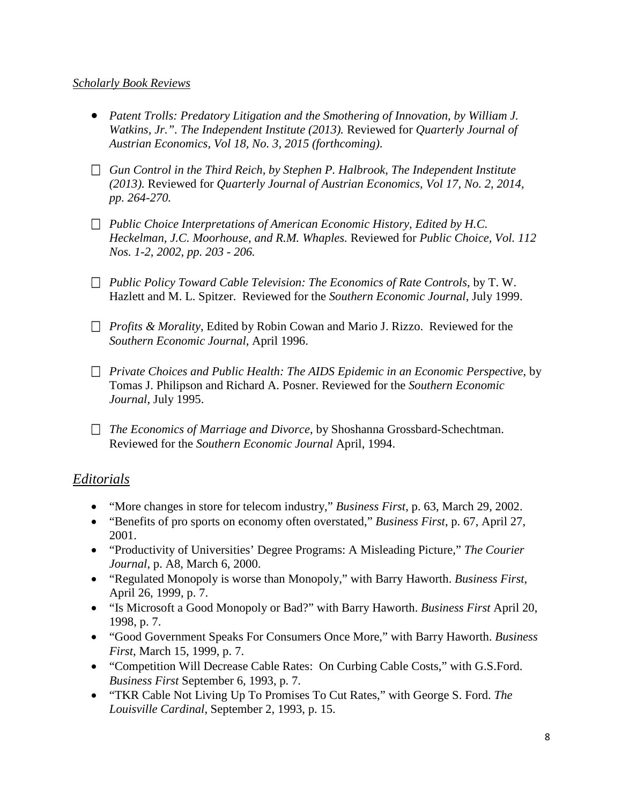# *Scholarly Book Reviews*

- *Patent Trolls: Predatory Litigation and the Smothering of Innovation, by William J. Watkins, Jr.". The Independent Institute (2013).* Reviewed for *Quarterly Journal of Austrian Economics, Vol 18, No. 3, 2015 (forthcoming)*.
- *Gun Control in the Third Reich, by Stephen P. Halbrook, The Independent Institute (2013).* Reviewed for *Quarterly Journal of Austrian Economics, Vol 17, No. 2, 2014, pp. 264-270.*
- *Public Choice Interpretations of American Economic History, Edited by H.C. Heckelman, J.C. Moorhouse, and R.M. Whaples.* Reviewed for *Public Choice, Vol. 112 Nos. 1-2, 2002, pp. 203 - 206.*
- *Public Policy Toward Cable Television: The Economics of Rate Controls*, by T. W. Hazlett and M. L. Spitzer. Reviewed for the *Southern Economic Journal*, July 1999.
- *Profits & Morality*, Edited by Robin Cowan and Mario J. Rizzo. Reviewed for the *Southern Economic Journal*, April 1996.
- *Private Choices and Public Health: The AIDS Epidemic in an Economic Perspective*, by Tomas J. Philipson and Richard A. Posner. Reviewed for the *Southern Economic Journal*, July 1995.
- *The Economics of Marriage and Divorce*, by Shoshanna Grossbard-Schechtman. Reviewed for the *Southern Economic Journal* April, 1994.

# *Editorials*

- "More changes in store for telecom industry," *Business First*, p. 63, March 29, 2002.
- "Benefits of pro sports on economy often overstated," *Business First*, p. 67, April 27, 2001.
- "Productivity of Universities' Degree Programs: A Misleading Picture," *The Courier Journal*, p. A8, March 6, 2000.
- "Regulated Monopoly is worse than Monopoly," with Barry Haworth. *Business First*, April 26, 1999, p. 7.
- "Is Microsoft a Good Monopoly or Bad?" with Barry Haworth. *Business First* April 20, 1998, p. 7.
- "Good Government Speaks For Consumers Once More," with Barry Haworth. *Business First*, March 15, 1999, p. 7.
- "Competition Will Decrease Cable Rates: On Curbing Cable Costs," with G.S.Ford. *Business First* September 6, 1993, p. 7.
- "TKR Cable Not Living Up To Promises To Cut Rates," with George S. Ford. *The Louisville Cardinal*, September 2, 1993, p. 15.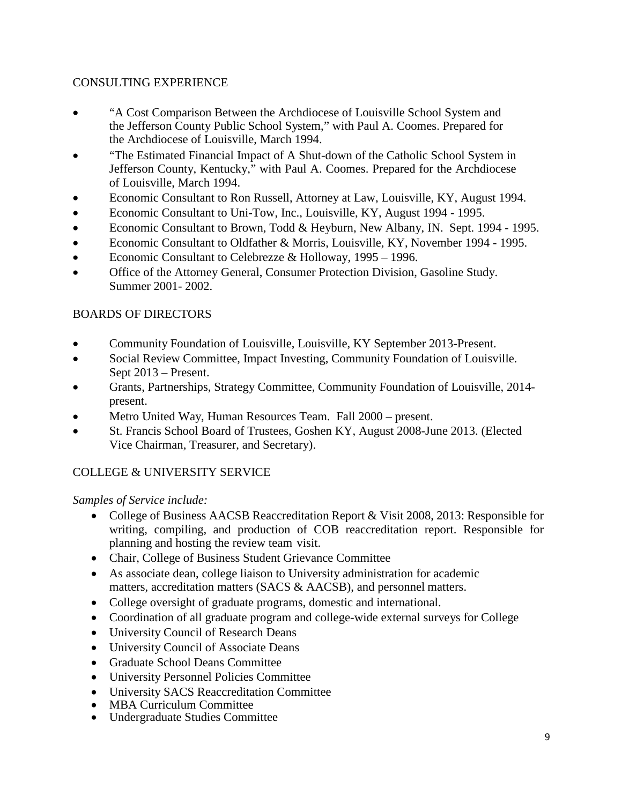# CONSULTING EXPERIENCE

- "A Cost Comparison Between the Archdiocese of Louisville School System and the Jefferson County Public School System," with Paul A. Coomes. Prepared for the Archdiocese of Louisville, March 1994.
- "The Estimated Financial Impact of A Shut-down of the Catholic School System in Jefferson County, Kentucky," with Paul A. Coomes. Prepared for the Archdiocese of Louisville, March 1994.
- Economic Consultant to Ron Russell, Attorney at Law, Louisville, KY, August 1994.
- Economic Consultant to Uni-Tow, Inc., Louisville, KY, August 1994 1995.
- Economic Consultant to Brown, Todd & Heyburn, New Albany, IN. Sept. 1994 1995.
- Economic Consultant to Oldfather & Morris, Louisville, KY, November 1994 1995.
- Economic Consultant to Celebrezze & Holloway, 1995 1996.
- Office of the Attorney General, Consumer Protection Division, Gasoline Study. Summer 2001- 2002.

# BOARDS OF DIRECTORS

- Community Foundation of Louisville, Louisville, KY September 2013-Present.
- Social Review Committee, Impact Investing, Community Foundation of Louisville. Sept 2013 – Present.
- Grants, Partnerships, Strategy Committee, Community Foundation of Louisville, 2014 present.
- Metro United Way, Human Resources Team. Fall 2000 present.
- St. Francis School Board of Trustees, Goshen KY, August 2008-June 2013. (Elected Vice Chairman, Treasurer, and Secretary).

# COLLEGE & UNIVERSITY SERVICE

## *Samples of Service include:*

- College of Business AACSB Reaccreditation Report & Visit 2008, 2013: Responsible for writing, compiling, and production of COB reaccreditation report. Responsible for planning and hosting the review team visit.
- Chair, College of Business Student Grievance Committee
- As associate dean, college liaison to University administration for academic matters, accreditation matters (SACS & AACSB), and personnel matters.
- College oversight of graduate programs, domestic and international.
- Coordination of all graduate program and college-wide external surveys for College
- University Council of Research Deans
- University Council of Associate Deans
- Graduate School Deans Committee
- University Personnel Policies Committee
- University SACS Reaccreditation Committee
- MBA Curriculum Committee
- Undergraduate Studies Committee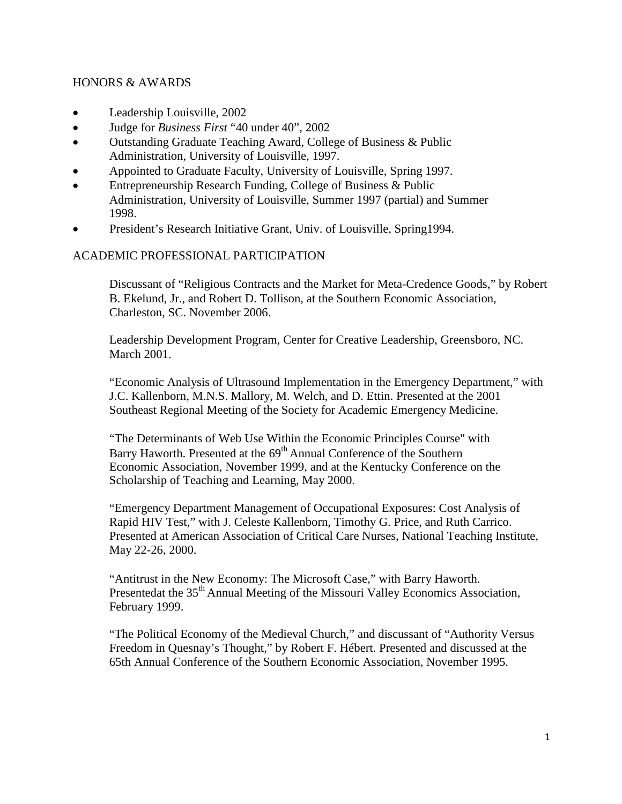### HONORS & AWARDS

- Leadership Louisville, 2002
- Judge for *Business First* "40 under 40", 2002
- Outstanding Graduate Teaching Award, College of Business & Public Administration, University of Louisville, 1997.
- Appointed to Graduate Faculty, University of Louisville, Spring 1997.
- Entrepreneurship Research Funding, College of Business & Public Administration, University of Louisville, Summer 1997 (partial) and Summer 1998.
- President's Research Initiative Grant, Univ. of Louisville, Spring1994.

## ACADEMIC PROFESSIONAL PARTICIPATION

Discussant of "Religious Contracts and the Market for Meta-Credence Goods," by Robert B. Ekelund, Jr., and Robert D. Tollison, at the Southern Economic Association, Charleston, SC. November 2006.

Leadership Development Program, Center for Creative Leadership, Greensboro, NC. March 2001.

"Economic Analysis of Ultrasound Implementation in the Emergency Department," with J.C. Kallenborn, M.N.S. Mallory, M. Welch, and D. Ettin. Presented at the 2001 Southeast Regional Meeting of the Society for Academic Emergency Medicine.

"The Determinants of Web Use Within the Economic Principles Course" with Barry Haworth. Presented at the 69<sup>th</sup> Annual Conference of the Southern Economic Association, November 1999, and at the Kentucky Conference on the Scholarship of Teaching and Learning, May 2000.

"Emergency Department Management of Occupational Exposures: Cost Analysis of Rapid HIV Test," with J. Celeste Kallenborn, Timothy G. Price, and Ruth Carrico. Presented at American Association of Critical Care Nurses, National Teaching Institute, May 22-26, 2000.

"Antitrust in the New Economy: The Microsoft Case," with Barry Haworth. Presentedat the 35<sup>th</sup> Annual Meeting of the Missouri Valley Economics Association, February 1999.

"The Political Economy of the Medieval Church," and discussant of "Authority Versus Freedom in Quesnay's Thought," by Robert F. Hébert. Presented and discussed at the 65th Annual Conference of the Southern Economic Association, November 1995.